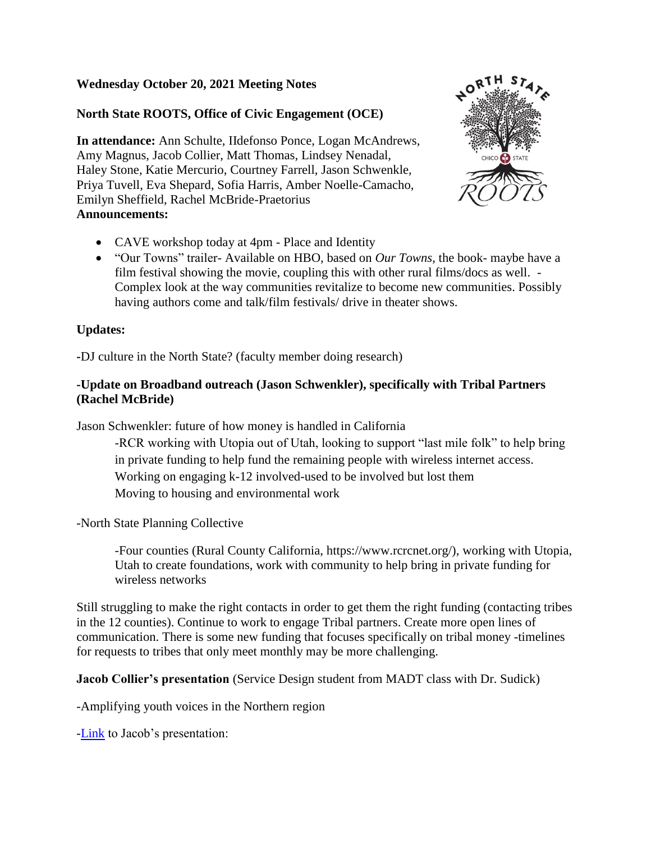# **Wednesday October 20, 2021 Meeting Notes**

# **North State ROOTS, Office of Civic Engagement (OCE)**

**In attendance:** Ann Schulte, IIdefonso Ponce, Logan McAndrews, Amy Magnus, Jacob Collier, Matt Thomas, Lindsey Nenadal, Haley Stone, Katie Mercurio, Courtney Farrell, Jason Schwenkle, Priya Tuvell, Eva Shepard, Sofia Harris, Amber Noelle-Camacho, Emilyn Sheffield, Rachel McBride-Praetorius **Announcements:**



- CAVE workshop today at 4pm Place and Identity
- "Our Towns" trailer- Available on HBO, based on *Our Towns*, the book- maybe have a film festival showing the movie, coupling this with other rural films/docs as well. - Complex look at the way communities revitalize to become new communities. Possibly having authors come and talk/film festivals/ drive in theater shows.

### **Updates:**

**-**DJ culture in the North State? (faculty member doing research)

## **-Update on Broadband outreach (Jason Schwenkler), specifically with Tribal Partners (Rachel McBride)**

Jason Schwenkler: future of how money is handled in California

-RCR working with Utopia out of Utah, looking to support "last mile folk" to help bring in private funding to help fund the remaining people with wireless internet access. Working on engaging k-12 involved-used to be involved but lost them Moving to housing and environmental work

-North State Planning Collective

-Four counties (Rural County California, https://www.rcrcnet.org/), working with Utopia, Utah to create foundations, work with community to help bring in private funding for wireless networks

Still struggling to make the right contacts in order to get them the right funding (contacting tribes in the 12 counties). Continue to work to engage Tribal partners. Create more open lines of communication. There is some new funding that focuses specifically on tribal money -timelines for requests to tribes that only meet monthly may be more challenging.

**Jacob Collier's presentation** (Service Design student from MADT class with Dr. Sudick)

-Amplifying youth voices in the Northern region

[-Link](https://docs.google.com/presentation/d/1UmjCAjYMFf5z47OrSXgrQs87yn2n-xBpIpjK8_A7sEA/edit?usp=sharing) to Jacob's presentation: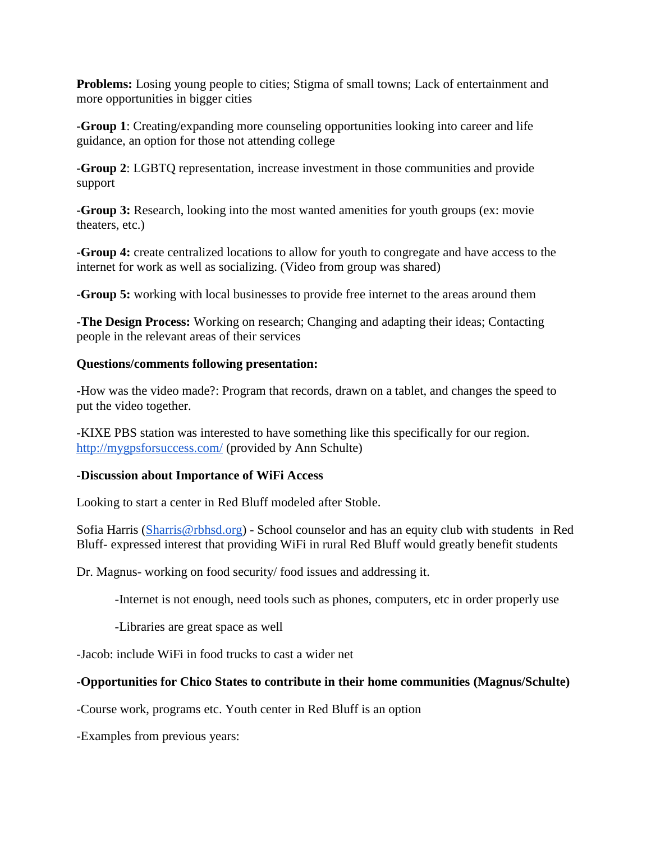**Problems:** Losing young people to cities; Stigma of small towns; Lack of entertainment and more opportunities in bigger cities

**-Group 1**: Creating/expanding more counseling opportunities looking into career and life guidance, an option for those not attending college

**-Group 2**: LGBTQ representation, increase investment in those communities and provide support

**-Group 3:** Research, looking into the most wanted amenities for youth groups (ex: movie) theaters, etc.)

**-Group 4:** create centralized locations to allow for youth to congregate and have access to the internet for work as well as socializing. (Video from group was shared)

**-Group 5:** working with local businesses to provide free internet to the areas around them

**-The Design Process:** Working on research; Changing and adapting their ideas; Contacting people in the relevant areas of their services

### **Questions/comments following presentation:**

**-**How was the video made?: Program that records, drawn on a tablet, and changes the speed to put the video together.

-KIXE PBS station was interested to have something like this specifically for our region. <http://mygpsforsuccess.com/> (provided by Ann Schulte)

#### **-Discussion about Importance of WiFi Access**

Looking to start a center in Red Bluff modeled after Stoble.

Sofia Harris [\(Sharris@rbhsd.org\)](mailto:Sharris@rbhsd.org) - School counselor and has an equity club with students in Red Bluff- expressed interest that providing WiFi in rural Red Bluff would greatly benefit students

Dr. Magnus- working on food security/ food issues and addressing it.

-Internet is not enough, need tools such as phones, computers, etc in order properly use

-Libraries are great space as well

-Jacob: include WiFi in food trucks to cast a wider net

## **-Opportunities for Chico States to contribute in their home communities (Magnus/Schulte)**

-Course work, programs etc. Youth center in Red Bluff is an option

-Examples from previous years: